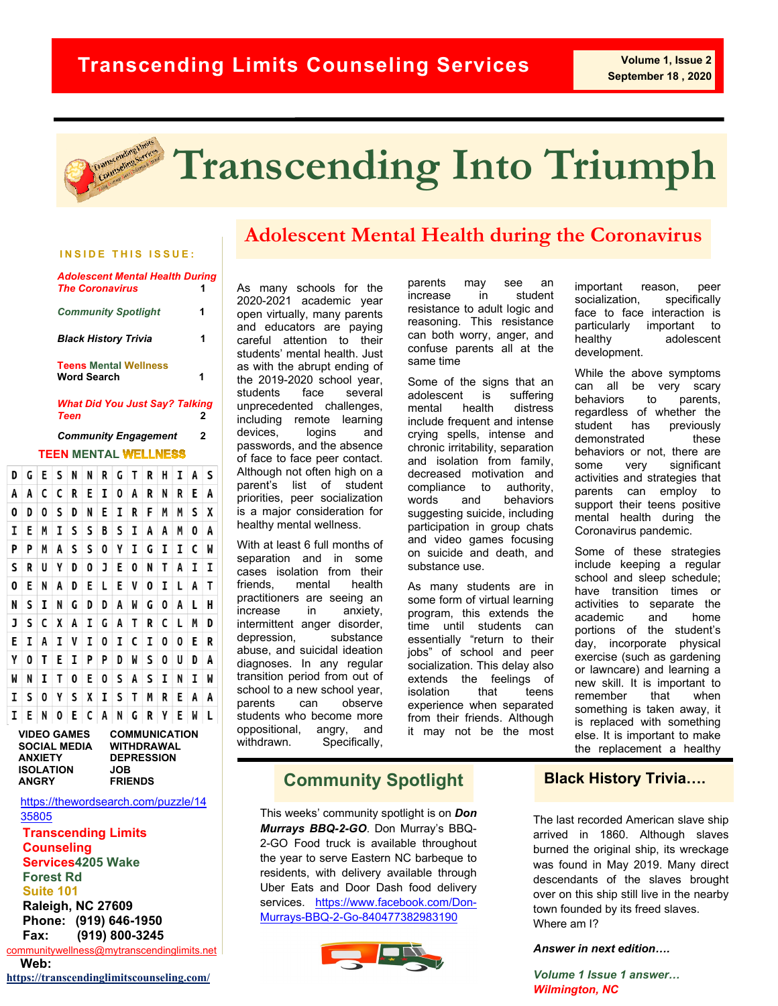

# **Transcending Into Triumph**

#### **INSIDE THIS ISSUE:**

| <b>Adolescent Mental Health During</b><br><b>The Coronavirus</b> |   |
|------------------------------------------------------------------|---|
| <b>Community Spotlight</b>                                       | 1 |
| <b>Black History Trivia</b>                                      |   |
| <b>Teens Mental Wellness</b><br><b>Word Search</b>               | 1 |
| <b>What Did You Just Say? Talking</b>                            |   |

*Teen* **2**

#### **TEEN MENTAL** *Community Engagement* **2**

| D | G | E | S | N | N | R | G | Т | R | н | I | A | S |
|---|---|---|---|---|---|---|---|---|---|---|---|---|---|
| A | A | c | c | R | E | I | 0 | A | R | N | R | E | A |
| 0 | D | 0 | S | D | N | E | I | R | F | M | M | S | χ |
| I | E | M | I | S | S | B | S | I | A | A | M | 0 | A |
| P | P | M | A | S | S | 0 | γ | I | G | I | I | c | M |
| S | R | U | Y | D | 0 | J | E | 0 | N | Τ | A | I | I |
| 0 | E | N | A | D | E | L | E | V | 0 | I | L | A | Τ |
| N | S | I | N | G | D | D | A | M | G | 0 | A | L | H |
| J | S | C | X | A | I | G | A | T | R | C | L | M | D |
| E | I | A | I | V | I | 0 | I | c | I | 0 | 0 | E | R |
| γ | 0 | Τ | E | I | P | P | D | M | S | 0 | U | D | A |
| M | N | I | T | 0 | E | 0 | S | A | S | I | N | I | M |
| I | S | 0 | γ | S | χ | I | S | т | M | R | E | A | A |
| I | E | N | 0 | E | C | A | N | G | R | Y | E | W | L |

| <b>COMMUNICATION</b> |
|----------------------|
| WITHDRAWAL           |
| <b>DEPRESSION</b>    |
| JOB                  |
| <b>FRIENDS</b>       |
|                      |

[https://thewordsearch.com/puzzle/14](https://thewordsearch.com/puzzle/1435805) [35805](https://thewordsearch.com/puzzle/1435805)

#### **Transcending Limits Counseling Services4205 Wake Forest Rd Suite 101 Raleigh, NC 27609 Phone: (919) 646-1950**

Fax: [communitywellness@mytranscendinglimits.net](mailto:communitywellness@mytranscendinglimits.net) **Fax: (919) 800-3245**

 **Web:**

**<https://transcendinglimitscounseling.com/>**

# **Adolescent Mental Health during the Coronavirus**

As many schools for the 2020-2021 academic year open virtually, many parents and educators are paying careful attention to their students' mental health. Just as with the abrupt ending of the 2019-2020 school year, students face several unprecedented challenges, including remote learning<br>devices, logins and devices, logins and passwords, and the absence of face to face peer contact. Although not often high on a parent's list of student priorities, peer socialization is a major consideration for healthy mental wellness.

With at least 6 full months of separation and in some cases isolation from their friends, mental health practitioners are seeing an increase in anxiety, intermittent anger disorder, depression, substance abuse, and suicidal ideation diagnoses. In any regular transition period from out of school to a new school year, parents can observe students who become more oppositional, angry, and withdrawn. Specifically,

parents may see an increase in student resistance to adult logic and reasoning. This resistance can both worry, anger, and confuse parents all at the same time

Some of the signs that an adolescent is suffering mental health distress include frequent and intense crying spells, intense and chronic irritability, separation and isolation from family, decreased motivation and<br>compliance to authority, compliance to words and behaviors suggesting suicide, including participation in group chats and video games focusing on suicide and death, and substance use.

As many students are in some form of virtual learning program, this extends the time until students can essentially "return to their jobs" of school and peer socialization. This delay also extends the feelings of<br>isolation that teens isolation that teens experience when separated from their friends. Although it may not be the most

important reason, peer socialization, specifically face to face interaction is particularly important to healthy adolescent development.

While the above symptoms can all be very scary behaviors to parents, regardless of whether the student has previously demonstrated these behaviors or not, there are some very significant activities and strategies that parents can employ to support their teens positive mental health during the Coronavirus pandemic.

Some of these strategies include keeping a regular school and sleep schedule; have transition times or activities to separate the<br>academic and home academic and home portions of the student's day, incorporate physical exercise (such as gardening or lawncare) and learning a new skill. It is important to remember that when something is taken away, it is replaced with something else. It is important to make the replacement a healthy

## **Community Spotlight**

This weeks' community spotlight is on *Don Murrays BBQ-2-GO*. Don Murray's BBQ-2-GO Food truck is available throughout the year to serve Eastern NC barbeque to residents, with delivery available through Uber Eats and Door Dash food delivery services. [https://www.facebook.com/Don-](https://www.facebook.com/Don-Murrays-BBQ-2-Go-840477382983190)[Murrays-BBQ-2-Go-840477382983190](https://www.facebook.com/Don-Murrays-BBQ-2-Go-840477382983190) 



### **Black History Trivia….**

The last recorded American slave ship arrived in 1860. Although slaves burned the original ship, its wreckage was found in May 2019. Many direct descendants of the slaves brought over on this ship still live in the nearby town founded by its freed slaves. Where am I?

*Answer in next edition….*

*Volume 1 Issue 1 answer… Wilmington, NC*